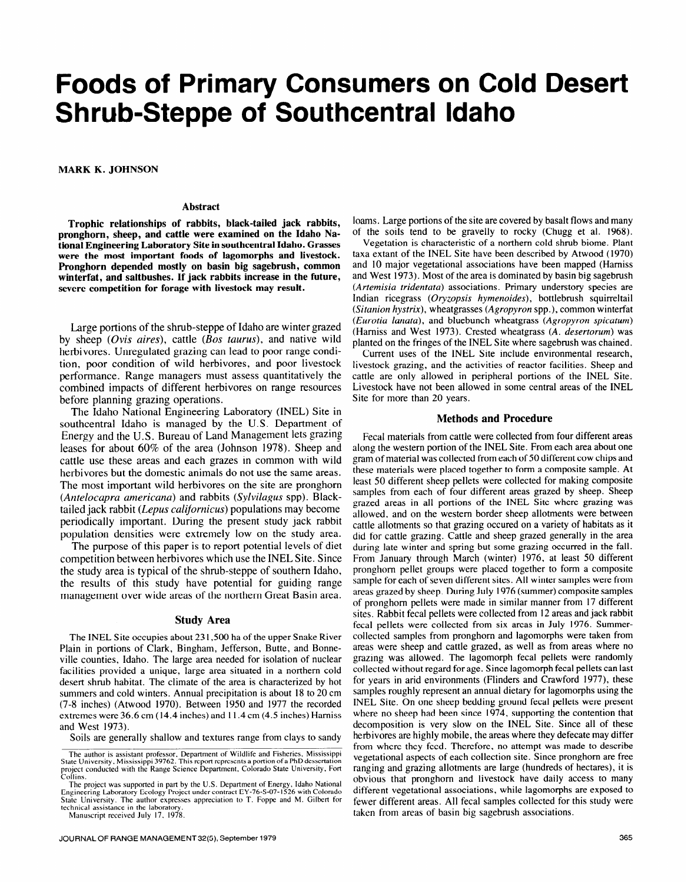# **Foods of Primary Consumers on Cold Desert Shrub-Steppe of Southcentral Idaho**

**MARK K. JOHNSON** 

#### **Abstract**

**Trophic relationships of rabbits, black-tailed jack rabbits, pronghorn, sheep, and cattle were examined on the Idaho National Engineering Laboratory Site in southcentral Idaho. Grasses were the most important foods of lagomorphs and livestock. Pronghorn depended mostly on basin big sagebrush, common winterfat, and saltbushes. If jack rabbits increase in the future, severe competition for forage with livestock may result.** 

Large portions of the shrub-steppe of Idaho are winter grazed by sheep (Ovis *aires*), cattle (Bos taurus), and native wild herbivores. Unregulated grazing can lead to poor range condition, poor condition of wild herbivores, and poor livestock performance. Range managers must assess quantitatively the combined impacts of different herbivores on range resources before planning grazing operations.

The Idaho National Engineering Laboratory (INEL) Site in southcentral Idaho is managed by the U.S. Department of Energy and the U.S. Bureau of Land Management lets grazing leases for about 60% of the area (Johnson 1978). Sheep and cattle use these areas and each grazes in common with wild herbivores but the domestic animals do not use the same areas. The most important wild herbivores on the site are pronghorn *(Antelocapra americana)* and rabbits *(Sylvilagus* spp). Blacktailed jack rabbit *(Lepus calijornicus)* populations may become periodically important. During the present study jack rabbit population densities were extremely low on the study area.

The purpose of this paper is to report potential levels of diet competition between herbivores which use the INEL Site. Since the study area is typical of the shrub-steppe of southern Idaho, the results of this study have potential for guiding range management over wide areas of the northern Great Basin area.

## **Study Area**

The INEL Site occupies about **23** 1,500 ha of the upper Snake River Plain in portions of Clark, Bingham, Jefferson, Butte, and Bonneville counties, Idaho. The large area needed for isolation of nuclear facilities provided a unique, large area situated in a northern cold desert shrub habitat. The climate of the area is characterized by hot summers and cold winters. Annual precipitation is about 18 to 20 cm (7-8 inches) (Atwood 1970). Between 1950 and 1977 the recorded extremes were 36.6 cm (14.4 inches) and 11.4 cm (4.5 inches) Hamiss and West 1973).

Soils are generally shallow and textures range from clays to sandy

loams. Large portions of the site are covered by basalt flows and many of the soils tend to be gravelly to rocky (Chugg et al. 1968).

Vegetation is characteristic of a northern cold shrub biome. Plant taxa extant of the INEL Site have been described by Atwood (1970) and 10 major vegetational associations have been mapped (Hamiss and West 1973). Most of the area is dominated by basin big sagebrush *(Artemisia tridentata)* associations. Primary understory species are Indian ricegrass *(Oryzopsis hymenoides),* bottlebrush squirreltail *(Situnion hystrix),* wheatgrasses *(Agropyron* spp.), common winterfat *(Eurotia lanata),* and bluebunch wheatgrass *(Agropyron spicatum)*  (Hamiss and West 1973). Crested wheatgrass *(A. desertorum)* was planted on the fringes of the INEL Site where sagebrush was chained.

Current uses of the INEL Site include environmental research, livestock grazing, and the activities of reactor facilities. Sheep and cattle are only allowed in peripheral portions of the INEL Site. Livestock have not been allowed in some central areas of the INEL Site for more than 20 years.

## **Methods and Procedure**

Fecal materials from cattle were collected from four different areas along the western portion of the INEL Site. From each area about one gram of material was collected from each of 50 different cow chips and these materials were placed together to form a composite sample. At least 50 different sheep pellets were collected for making composite samples from each of four different areas grazed by sheep. Sheep grazed areas in all portions of the INEL Site where grazing was allowed, and on the western border sheep allotments were between cattle allotments so that grazing occured on a variety of habitats as it did for cattle grazing. Cattle and sheep grazed generally in the area during late winter and spring but some grazing occurred in the fall. From January through March (winter) 1976, at least 50 different pronghom pellet groups were placed together to form a composite sample for each of seven different sites. All winter samples were from areas grazed by sheep. During July I976 (summer) composite samples of pronghom pellets were made in similar manner from 17 different sites. Rabbit fecal pellets were collected from 12 areas and jack rabbit fecal pellets were collected from six areas in July 1976. Summercollected samples from pronghorn and lagomorphs were taken from areas were sheep and cattle grazed, as well as from areas where no grazing was allowed. The lagomorph fecal pellets were randomly collected without regard for age. Since lagomorph fecal pellets can last for years in arid environments (Flinders and Crawford 1977), these samples roughly represent an annual dietary for lagomorphs using the INEL Site. On one sheep bedding ground fecal pellets were present where no sheep had been since 1974, supporting the contention that decomposition is very slow on the INEL Site. Since all of these herbivores are highly mobile, the areas where they defecate may differ from where they feed. Therefore, no attempt was made to describe vegetational aspects of each collection site. Since pronghom are free ranging and grazing allotments are large (hundreds of hectares), it is obvious that pronghorn and livestock have daily access to many different vegetational associations, while lagomorphs are exposed to fewer different areas. All fecal samples collected for this study were taken from areas of basin big sagebrush associations.

**The author is assistant professor, Department of Wildlife and Fisheries, Mississippi State University, Mississippi 39762. This report represents a portion of a PhD dessertation project conducted with the Range Science Department, Colorado State University, Fort Collins.** 

I he project was supported in part by the U.S. Department of Energy, Idaho National<br>Engineering Laboratory Ecology Project under contract EY-76-S-07-1526 with Colorado<br>State University. The author expresses appreciation to technical assistance in the laborator

**Manuscript received July 17. 1978.**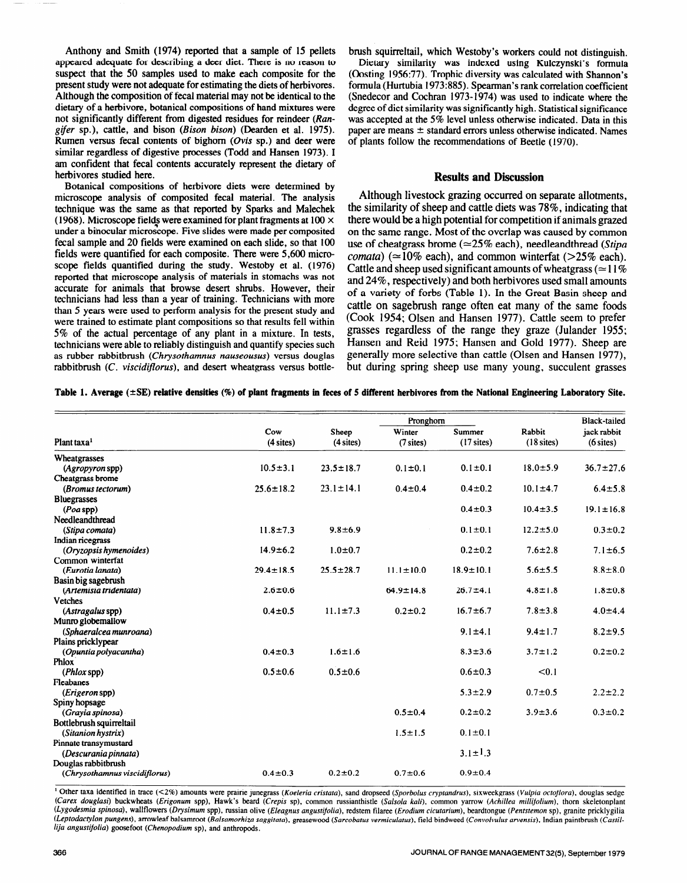Anthony and Smith (1974) reported that a sample of 15 pellets appeared adequate for describing a deer diet. There is no reason to suspect that the 50 samples used to make each composite for the present study were not adequate for estimating the diets of herbivores. Although the composition of fecal material may not be identical to the dietary of a herbivore, botanical compositions of hand mixtures were not significantly different from digested residues for reindeer (Ran*gifer* sp.), cattle, and bison (Bison bison) (Dearden et al. 1975). Rumen versus fecal contents of bighorn  $(Ovis$  sp.) and deer were similar regardless of digestive processes (Todd and Hansen 1973). I am confident that fecal contents accurately represent the dietary of herbivores studied here.

Botanical compositions of herbivore diets were determined by microscope analysis of composited fecal material. The analysis technique was the same as that reported by Sparks and Malechek (1968). Microscope fields were examined for plant fragments at 100  $\times$ under a binocular microscope. Five slides were made per cornposited fecal sample and 20 fields were examined on each slide, so that 100 fields were quantified for each composite. There were 5,600 microscope fields quantified during the study. Westoby et al. ( 1976) reported that microscope analysis of materials in stomachs was not accurate for animals that browse desert shrubs. However, their technicians had less than a year of training. Technicians with more than 5 years were used to perform analysis for the present study and were trained to estimate plant compositions so that results fell within 5% of the actual percentage of any plant in a mixture. In tests, technicians were able to reliably distinguish and quantify species such as rubber rabbitbrush *(Chrysothamnus nauseousus)* versus douglas rabbitbrush (C. *viscidiflorus),* and desert wheatgrass versus bottlebrush squirreltail, which Westoby's workers could not distinguish.

Dietary similarity was indexed using Kulczynski's formula (Oosting 1956:77). Trophic diversity was calculated with Shannon's formula (Hurtubia 1973:885). Spearman's rank correlation coefficient (Snedecor and Cochran 1973-1974) was used to indicate where the degree of diet similarity was significantly high. Statistical significance was accepted at the 5% level unless otherwise indicated. Data in this paper are means  $\pm$  standard errors unless otherwise indicated. Names of plants follow the recommendations of Beetle (1970).

# **Results and Discussion**

Although livestock grazing occurred on separate allotments, the similarity of sheep and cattle diets was 78%, indicating that there would be a high potential for competition if animals grazed on the same range. Most of the overlap was caused by common use of cheatgrass brome ( $\simeq$ 25% each), needleandthread *(Stipa comata*)  $(\approx 10\%$  each), and common winterfat ( $>25\%$  each). Cattle and sheep used significant amounts of wheatgrass ( $\simeq$ 11%) and 24%, respectively) and both herbivores used small amounts of a variety of forbs (Table 1). In the Great Basin sheep and cattle on sagebrush range often eat many of the same foods (Cook 1954; Olsen and Hansen 1977). Cattle seem to prefer grasses regardless of the range they graze (Julander 1955; Hansen and Reid 1975; Hansen and Gold 1977). Sheep are generally more selective than cattle (Olsen and Hansen 1977), but during spring sheep use many young, succulent grasses

Table 1. Average ( $\pm$ SE) relative densities (%) of plant fragments in feces of 5 different herbivores from the National Engineering Laboratory Site.

|                                             | Pronghorn          |                      |                       |                        |                        | <b>Black-tailed</b>        |
|---------------------------------------------|--------------------|----------------------|-----------------------|------------------------|------------------------|----------------------------|
| Plant taxa <sup>1</sup>                     | Cow<br>$(4$ sites) | Sheep<br>$(4$ sites) | Winter<br>$(7$ sites) | Summer<br>$(17$ sites) | Rabbit<br>$(18$ sites) | jack rabbit<br>$(6$ sites) |
| Wheatgrasses                                |                    |                      |                       |                        |                        |                            |
| (Agropyron spp)                             | $10.5 \pm 3.1$     | $23.5 \pm 18.7$      | $0.1 \pm 0.1$         | $0.1 \pm 0.1$          | $18.0 \pm 5.9$         | $36.7 \pm 27.6$            |
| Cheatgrass brome                            |                    |                      |                       |                        |                        |                            |
| (Bromus tectorum)                           | $25.6 \pm 18.2$    | $23.1 \pm 14.1$      | $0.4 \pm 0.4$         | $0.4 \pm 0.2$          | $10.1 \pm 4.7$         | $6.4 \pm 5.8$              |
| <b>Bluegrasses</b>                          |                    |                      |                       |                        |                        |                            |
| $(Poa$ spp $)$                              |                    |                      |                       | $0.4 \pm 0.3$          | $10.4 \pm 3.5$         | $19.1 \pm 16.8$            |
| Needleandthread                             |                    |                      |                       |                        |                        |                            |
| (Stipa comata)                              | $11.8 \pm 7.3$     | $9.8 \pm 6.9$        |                       | $0.1 \pm 0.1$          | $12.2 \pm 5.0$         | $0.3 \pm 0.2$              |
| Indian ricegrass                            |                    |                      |                       |                        |                        |                            |
| (Oryzopsis hymenoides)                      | $14.9 \pm 6.2$     | $1.0 + 0.7$          |                       | $0.2 \pm 0.2$          | $7.6 \pm 2.8$          | $7.1 \pm 6.5$              |
| Common winterfat<br>(Eurotia lanata)        | $29.4 \pm 18.5$    | $25.5 \pm 28.7$      | $11.1 \pm 10.0$       | $18.9 \pm 10.1$        | $5.6 \pm 5.5$          | $8.8 \pm 8.0$              |
| Basin big sagebrush                         |                    |                      |                       |                        |                        |                            |
| (Artemisia tridentata)                      | $2.6 \pm 0.6$      |                      | $64.9 \pm 14.8$       | $26.7 + 4.1$           | $4.8 \pm 1.8$          | $1.8 - 0.8$                |
| <b>Vetches</b>                              |                    |                      |                       |                        |                        |                            |
| (Astragalus spp)                            | $0.4 \pm 0.5$      | $11.1 \pm 7.3$       | $0.2 \pm 0.2$         | $16.7 \pm 6.7$         | $7.8 \pm 3.8$          | $4.0 \pm 4.4$              |
| Munro globemallow                           |                    |                      |                       |                        |                        |                            |
| (Sphaeralcea munroana)                      |                    |                      |                       | $9.1 \pm 4.1$          | $9.4 \pm 1.7$          | $8.2 + 9.5$                |
| Plains pricklypear                          |                    |                      |                       |                        |                        |                            |
| (Opuntia polyacantha)                       | $0.4 \pm 0.3$      | $1.6 \pm 1.6$        |                       | $8.3 \pm 3.6$          | $3.7 \pm 1.2$          | $0.2 \pm 0.2$              |
| <b>Phlox</b>                                |                    |                      |                       |                        |                        |                            |
| $(Phlox$ spp $)$                            | $0.5 \pm 0.6$      | $0.5 \pm 0.6$        |                       | $0.6 \pm 0.3$          | < 0.1                  |                            |
| Fleabanes                                   |                    |                      |                       |                        |                        |                            |
| ( <i>Erigeron</i> spp)                      |                    |                      |                       | $5.3 \pm 2.9$          | $0.7 + 0.5$            | $2.2 \pm 2.2$              |
| Spiny hopsage                               |                    |                      |                       |                        |                        |                            |
| (Grayia spinosa)                            |                    |                      | $0.5 \pm 0.4$         | $0.2 \pm 0.2$          | $3.9 \pm 3.6$          | $0.3 \pm 0.2$              |
| Bottlebrush squirreltail                    |                    |                      |                       |                        |                        |                            |
| (Sitanion hystrix)                          |                    |                      | $1.5 \pm 1.5$         | $0.1 \pm 0.1$          |                        |                            |
| Pinnate transymustard                       |                    |                      |                       | $3.1 \pm 1.3$          |                        |                            |
| (Descurania pinnata)<br>Douglas rabbitbrush |                    |                      |                       |                        |                        |                            |
| (Chrysothamnus viscidiflorus)               | $0.4 \pm 0.3$      | $0.2 \pm 0.2$        | $0.7 \pm 0.6$         | $0.9 + 0.4$            |                        |                            |

<sup>1</sup> Other taxa identified in trace (<2%) amounts were prairie junegrass (Koeleria cristata), sand dropseed (Sporbolus cryptandrus), sixweekgrass (Vulpia octoflora), douglas sedge (Carex douglasi) buckwheats (Erigonum spp), Hawk's beard (Crepis sp), common russianthistle (Salsola kali), common yarrow (Achillea millifolium), thorn skeletonplant (Lygodesmia spinosa), wallflowers (Drysimum spp), russian olive (Eleagnus angustifolia), redstem filaree (Erodium cicutarium), beardtongue (Pentstemon sp), granite pricklygilia (Leptodactylon pungens), arrowleaf balsamroot (Balsamorhiza saggitata), greasewood (Sarcobatus vermiculatus), field bindweed (Convolvulus arvensis), Indian paintbrush (Castillija angustifolia) goosefoot (Chenopodium sp), and anthropods.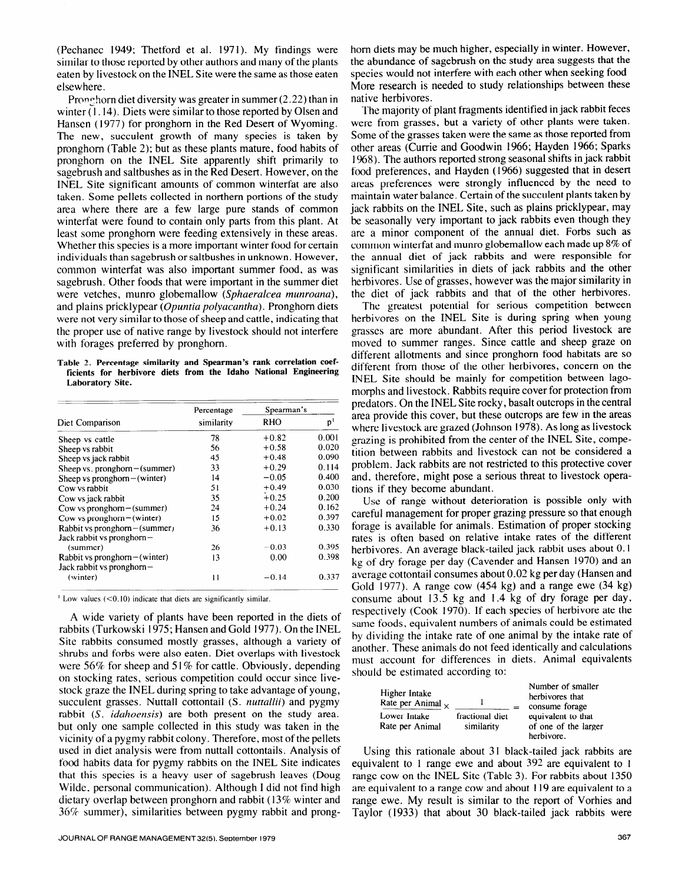(Pechanec 1949; Thetford et al. 1971). My findings were similar to those reported by other authors and many of the plants eaten by livestock on the INEL Site were the same as those eaten elsewhere.

Pronghorn diet diversity was greater in summer  $(2.22)$  than in winter (1.14). Diets were similar to those reported by Olsen and Hansen (1977) for pronghorn in the Red Desert of Wyoming. The new, succulent growth of many species is taken by pronghom (Table 2); but as these plants mature, food habits of pronghom on the INEL Site apparently shift primarily to sagebrush and saltbushes as in the Red Desert. However, on the INEL Site significant amounts of common winterfat are also taken. Some pellets collected in northern portions of the study area where there are a few large pure- stands of common winterfat were found to contain only parts from this plant. At least some pronghom were feeding extensively in these areas. Whether this **species** is a more important winter food for certain individuals than sagebrush or saltbushes in unknown. However, common winterfat was also important summer food, as **was**  sagebrush. Other foods that were important in the summer diet were vetches, munro globemallow *(Sphaeralcea munroana),*  and plains pricklypear *(Opuntia polyacantha).* Pronghom diets were not very similar to those of sheep and cattle, indicating that the proper use of native range by livestock should not interfere with forages preferred by pronghorn.

**Table 2. Percentage similarity and Spearman's rank correlation coefficients for herbivore diets from the Idaho National Engineering Laboratory Site.** 

|                                  | Percentage   | Spearman's |                |
|----------------------------------|--------------|------------|----------------|
| Diet Comparison                  | similarity   | RHO        | p <sup>1</sup> |
| Sheep vs cattle                  | 78           | $+0.82$    | 0.001          |
| Sheep vs rabbit                  | 56           | $+0.58$    | 0.020          |
| Sheep vs jack rabbit             | 45           | $+0.48$    | 0.090          |
| Sheep vs. pronghorn $-$ (summer) | 33           | $+0.29$    | 0.114          |
| Sheep vs pronghorn $-$ (winter)  | 14           | $-0.05$    | 0.400          |
| Cow vs rabbit                    | 51           | $+0.49$    | 0.030          |
| Cow vs jack rabbit               | 35           | $+0.25$    | 0.200          |
| Cow vs pronghorn $-$ (summer)    | 24           | $+0.24$    | 0.162          |
| Cow vs pronghorn $-($ winter $)$ | 15           | $+0.02$    | 0.397          |
| Rabbit vs pronghorn-(summer)     | 36           | $+0.13$    | 0.330          |
| Jack rabbit vs pronghorn-        |              |            |                |
| (summer)                         | 26           | $-0.03$    | 0.395          |
| Rabbit vs pronghorn $-$ (winter) | 13           | 0.00       | 0.398          |
| Jack rabbit vs pronghorn-        |              |            |                |
| (winter)                         | $\mathbf{1}$ | $-0.14$    | 0.337          |

<sup>1</sup> Low values (<0.10) indicate that diets are significantly similar.

A wide variety of plants have been reported in the diets of rabbits (Turkowski 1975; Hansen and Gold 1977). On the INEL Site rabbits consumed mostly grasses, although a variety of shrubs and forbs were also eaten. Diet overlaps with livestock were 56% for sheep and 51% for cattle. Obviously, depending on stocking rates, serious competition could occur since livestock graze the INEL during spring to take advantage of young, succulent grasses. Nuttall cottontail (S. *nuttallii)* and pygmy rabbit (S. *iduhoensis)* are both present on the study area. but only one sample collected in this study was taken in the vicinity of a pygmy rabbit colony. Therefore, most of the pellets **used** in diet analysis were from nuttall cottontails. Analysis of food habits data for pygmy rabbits on the INEL Site indicates that this species is a heavy user of sagebrush leaves (Doug Wilde, personal communication). Although I did not find high dietary overlap between pronghom and rabbit ( 13% winter and  $36\%$  summer), similarities between pygmy rabbit and pronghorn diets may be much higher, especially in winter. However, the abundance of sagebrush on the study area suggests that the species would not interfere with each other when seeking food More research is needed to study relationships between these native herbivores.

The majority of plant fragments identified in jack rabbit feces were from grasses, but a variety of other plants were taken. Some of the grasses taken were the same as those reported from other areas (Currie and Goodwin 1966; Hayden 1966; Sparks 1968). The authors reported strong seasonal shifts in jack rabbit food preferences, and Hayden ( 1966) suggested that in desert areas preferences were strongly influenced by the need to maintain water balance. Certain of the succulent plants taken by jack rabbits on the INEL Site, such as plains pricklypear, may be seasonally very important to jack rabbits even though they are a minor component of the annual diet. Forbs such as common winterfat and munro globemallow each made up 8% of the annual diet of jack rabbits and were responsible for significant similarities in diets of jack rabbits and the other herbivores. Use of grasses, however was the major similarity in the diet of jack rabbits and that of the other herbivores.

The greatest potential for serious competition between herbivores on the INEL Site is during spring when young grasses are more abundant. After this period livestock are moved to summer ranges. Since cattle and sheep graze on different allotments and since pronghorn food habitats are so different from those of the other herbivores, concern on the INEL Site should be mainly for competition between lagomorphs and livestock. Rabbits require cover for protection from predators. On the INEL Site rocky, basalt outcrops in the central area provide this cover, but these outcrops are few in the areas where livestock are grazed (Johnson 1978). As long as livestock grazing is prohibited from the center of the INEL Site, competition between rabbits and livestock can not be considered a problem. Jack rabbits are not restricted to this protective cover and, therefore, might pose a serious threat to livestock operations if they become abundant.

Use of range without deterioration is possible only with careful management for proper grazing pressure so that enough forage is available for animals. Estimation of proper stocking rates is often based on relative intake rates of the different herbivores. An average black-tailed jack rabbit uses about 0. I kg of dry forage per day (Cavender and Hansen 1970) and an average cottontail consumes about 0.02 kg per day (Hansen and Gold 1977). A range cow (454 kg) and a range ewe (34 kg) consume about 13.5 kg and I .4 kg of dry forage per day, respectively (Cook 1970). If each species of herbivore ate the same foods, equivalent numbers of animals could be estimated by dividing the intake rate of one animal by the intake rate of another. These animals do not feed identically and calculations must account for differences in diets. Animal equivalents should be estimated according to:

| Higher Intake<br>Rate per Animal $\sim$ |                               | Number of smaller<br>herbivores that<br>consume forage   |
|-----------------------------------------|-------------------------------|----------------------------------------------------------|
| Lower Intake<br>Rate per Animal         | fractional diet<br>similarity | equivalent to that<br>of one of the larger<br>herbivore. |

Using this rationale about 31 black-tailed jack rabbits are equivalent to 1 range ewe and about 392 are equivalent to 1 range cow on the INEL Site (Table 3). For rabbits about 1350 are equivalent to a range cow and about 119 are equivalent to a range ewe. My result is similar to the report of Vorhies and Taylor (1933) that about 30 black-tailed jack rabbits were